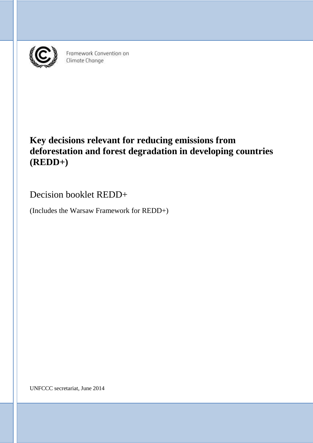

Framework Convention on Climate Change

# **Key decisions relevant for reducing emissions from deforestation and forest degradation in developing countries (REDD+)**

Decision booklet REDD+

(Includes the Warsaw Framework for REDD+)

UNFCCC secretariat, June 2014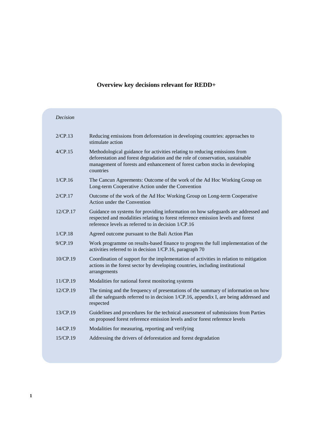# **Overview key decisions relevant for REDD+**

| Decision    |                                                                                                                                                                                                                                                          |
|-------------|----------------------------------------------------------------------------------------------------------------------------------------------------------------------------------------------------------------------------------------------------------|
| 2/CP.13     | Reducing emissions from deforestation in developing countries: approaches to<br>stimulate action                                                                                                                                                         |
| 4/CP.15     | Methodological guidance for activities relating to reducing emissions from<br>deforestation and forest degradation and the role of conservation, sustainable<br>management of forests and enhancement of forest carbon stocks in developing<br>countries |
| 1/CP.16     | The Cancun Agreements: Outcome of the work of the Ad Hoc Working Group on<br>Long-term Cooperative Action under the Convention                                                                                                                           |
| 2/CP.17     | Outcome of the work of the Ad Hoc Working Group on Long-term Cooperative<br>Action under the Convention                                                                                                                                                  |
| $12$ /CP.17 | Guidance on systems for providing information on how safeguards are addressed and<br>respected and modalities relating to forest reference emission levels and forest<br>reference levels as referred to in decision 1/CP.16                             |
| 1/CP.18     | Agreed outcome pursuant to the Bali Action Plan                                                                                                                                                                                                          |
| $9$ /CP.19  | Work programme on results-based finance to progress the full implementation of the<br>activities referred to in decision 1/CP.16, paragraph 70                                                                                                           |
| 10/CP.19    | Coordination of support for the implementation of activities in relation to mitigation<br>actions in the forest sector by developing countries, including institutional<br>arrangements                                                                  |
| 11/CP.19    | Modalities for national forest monitoring systems                                                                                                                                                                                                        |
| $12$ /CP.19 | The timing and the frequency of presentations of the summary of information on how<br>all the safeguards referred to in decision 1/CP.16, appendix I, are being addressed and<br>respected                                                               |
| 13/CP.19    | Guidelines and procedures for the technical assessment of submissions from Parties<br>on proposed forest reference emission levels and/or forest reference levels                                                                                        |
| 14/CP.19    | Modalities for measuring, reporting and verifying                                                                                                                                                                                                        |
| 15/CP.19    | Addressing the drivers of deforestation and forest degradation                                                                                                                                                                                           |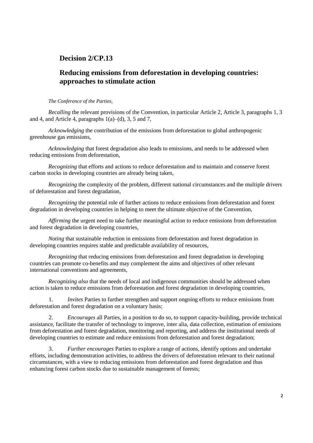# **Decision 2/CP.13**

# **Reducing emissions from deforestation in developing countries: approaches to stimulate action**

*The Conference of the Parties,*

*Recalling* the relevant provisions of the Convention, in particular Article 2, Article 3, paragraphs 1, 3 and 4, and Article 4, paragraphs  $1(a)$ –(d), 3, 5 and 7,

*Acknowledging* the contribution of the emissions from deforestation to global anthropogenic greenhouse gas emissions,

*Acknowledging* that forest degradation also leads to emissions, and needs to be addressed when reducing emissions from deforestation,

*Recognizing* that efforts and actions to reduce deforestation and to maintain and conserve forest carbon stocks in developing countries are already being taken,

*Recognizing* the complexity of the problem, different national circumstances and the multiple drivers of deforestation and forest degradation,

*Recognizing* the potential role of further actions to reduce emissions from deforestation and forest degradation in developing countries in helping to meet the ultimate objective of the Convention,

*Affirming* the urgent need to take further meaningful action to reduce emissions from deforestation and forest degradation in developing countries,

*Noting* that sustainable reduction in emissions from deforestation and forest degradation in developing countries requires stable and predictable availability of resources,

*Recognizing* that reducing emissions from deforestation and forest degradation in developing countries can promote co-benefits and may complement the aims and objectives of other relevant international conventions and agreements,

*Recognizing also* that the needs of local and indigenous communities should be addressed when action is taken to reduce emissions from deforestation and forest degradation in developing countries,

1. *Invites* Parties to further strengthen and support ongoing efforts to reduce emissions from deforestation and forest degradation on a voluntary basis;

2. *Encourages* all Parties, in a position to do so, to support capacity-building, provide technical assistance, facilitate the transfer of technology to improve, inter alia, data collection, estimation of emissions from deforestation and forest degradation, monitoring and reporting, and address the institutional needs of developing countries to estimate and reduce emissions from deforestation and forest degradation;

3. *Further encourages* Parties to explore a range of actions, identify options and undertake efforts, including demonstration activities, to address the drivers of deforestation relevant to their national circumstances, with a view to reducing emissions from deforestation and forest degradation and thus enhancing forest carbon stocks due to sustainable management of forests;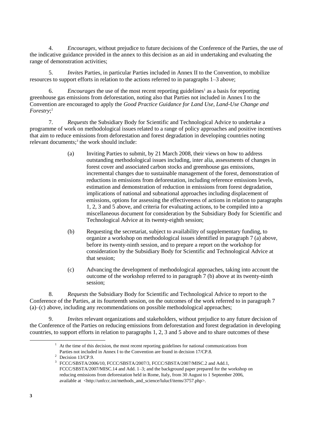4. *Encourages*, without prejudice to future decisions of the Conference of the Parties, the use of the indicative guidance provided in the annex to this decision as an aid in undertaking and evaluating the range of demonstration activities;

5. *Invites* Parties, in particular Parties included in Annex II to the Convention, to mobilize resources to support efforts in relation to the actions referred to in paragraphs 1–3 above;

6. *Encourages* the use of the most recent reporting guidelines<sup>1</sup> as a basis for reporting greenhouse gas emissions from deforestation, noting also that Parties not included in Annex I to the Convention are encouraged to apply the *Good Practice Guidance for Land Use, Land-Use Change and Forestry*; 2

7. *Requests* the Subsidiary Body for Scientific and Technological Advice to undertake a programme of work on methodological issues related to a range of policy approaches and positive incentives that aim to reduce emissions from deforestation and forest degradation in developing countries noting relevant documents;<sup>3</sup> the work should include:

- (a) Inviting Parties to submit, by 21 March 2008, their views on how to address outstanding methodological issues including, inter alia, assessments of changes in forest cover and associated carbon stocks and greenhouse gas emissions, incremental changes due to sustainable management of the forest, demonstration of reductions in emissions from deforestation, including reference emissions levels, estimation and demonstration of reduction in emissions from forest degradation, implications of national and subnational approaches including displacement of emissions, options for assessing the effectiveness of actions in relation to paragraphs 1, 2, 3 and 5 above, and criteria for evaluating actions, to be compiled into a miscellaneous document for consideration by the Subsidiary Body for Scientific and Technological Advice at its twenty-eighth session;
- (b) Requesting the secretariat, subject to availability of supplementary funding, to organize a workshop on methodological issues identified in paragraph 7 (a) above, before its twenty-ninth session, and to prepare a report on the workshop for consideration by the Subsidiary Body for Scientific and Technological Advice at that session;
- (c) Advancing the development of methodological approaches, taking into account the outcome of the workshop referred to in paragraph 7 (b) above at its twenty-ninth session;

8. *Requests* the Subsidiary Body for Scientific and Technological Advice to report to the Conference of the Parties, at its fourteenth session, on the outcomes of the work referred to in paragraph 7 (a)–(c) above, including any recommendations on possible methodological approaches;

9. *Invites* relevant organizations and stakeholders, without prejudice to any future decision of the Conference of the Parties on reducing emissions from deforestation and forest degradation in developing countries, to support efforts in relation to paragraphs 1, 2, 3 and 5 above and to share outcomes of these

1

<sup>1</sup> At the time of this decision, the most recent reporting guidelines for national communications from Parties not included in Annex I to the Convention are found in decision 17/CP.8.

<sup>2</sup> Decision 13/CP.9.

<sup>&</sup>lt;sup>3</sup> FCCC/SBSTA/2006/10, FCCC/SBSTA/2007/3, FCCC/SBSTA/2007/MISC.2 and Add.1, FCCC/SBSTA/2007/MISC.14 and Add. 1–3; and the background paper prepared for the workshop on reducing emissions from deforestation held in Rome, Italy, from 30 August to 1 September 2006, available at <http://unfccc.int/methods\_and\_science/lulucf/items/3757.php>.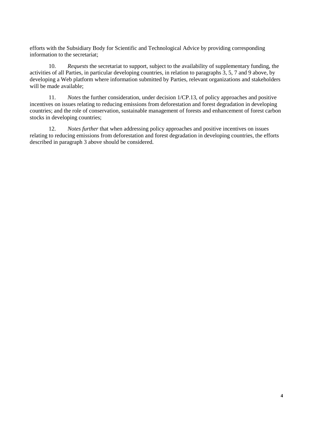efforts with the Subsidiary Body for Scientific and Technological Advice by providing corresponding information to the secretariat;

10. *Requests* the secretariat to support, subject to the availability of supplementary funding, the activities of all Parties, in particular developing countries, in relation to paragraphs 3, 5, 7 and 9 above, by developing a Web platform where information submitted by Parties, relevant organizations and stakeholders will be made available;

11. *Notes* the further consideration, under decision 1/CP.13, of policy approaches and positive incentives on issues relating to reducing emissions from deforestation and forest degradation in developing countries; and the role of conservation, sustainable management of forests and enhancement of forest carbon stocks in developing countries;

12. *Notes further* that when addressing policy approaches and positive incentives on issues relating to reducing emissions from deforestation and forest degradation in developing countries, the efforts described in paragraph 3 above should be considered.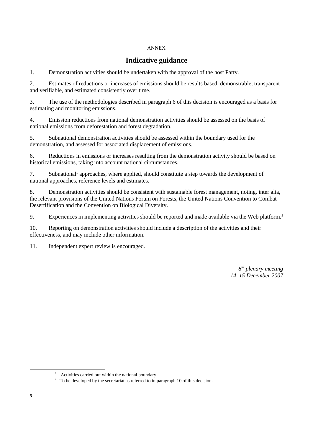#### ANNEX

# **Indicative guidance**

1. Demonstration activities should be undertaken with the approval of the host Party.

2. Estimates of reductions or increases of emissions should be results based, demonstrable, transparent and verifiable, and estimated consistently over time.

3. The use of the methodologies described in paragraph 6 of this decision is encouraged as a basis for estimating and monitoring emissions.

4. Emission reductions from national demonstration activities should be assessed on the basis of national emissions from deforestation and forest degradation.

5. Subnational demonstration activities should be assessed within the boundary used for the demonstration, and assessed for associated displacement of emissions.

6. Reductions in emissions or increases resulting from the demonstration activity should be based on historical emissions, taking into account national circumstances.

7. Subnational<sup>1</sup> approaches, where applied, should constitute a step towards the development of national approaches, reference levels and estimates.

8. Demonstration activities should be consistent with sustainable forest management, noting, inter alia, the relevant provisions of the United Nations Forum on Forests, the United Nations Convention to Combat Desertification and the Convention on Biological Diversity.

9. Experiences in implementing activities should be reported and made available via the Web platform.<sup>2</sup>

10. Reporting on demonstration activities should include a description of the activities and their effectiveness, and may include other information.

11. Independent expert review is encouraged.

*8 th plenary meeting 14–15 December 2007*

<sup>&</sup>lt;sup>1</sup> Activities carried out within the national boundary.

 $2\degree$  To be developed by the secretariat as referred to in paragraph 10 of this decision.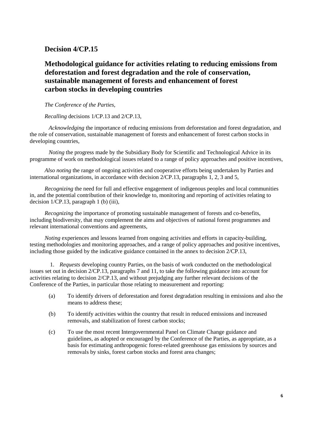# **Decision 4/CP.15**

# **Methodological guidance for activities relating to reducing emissions from deforestation and forest degradation and the role of conservation, sustainable management of forests and enhancement of forest carbon stocks in developing countries**

#### *The Conference of the Parties,*

#### *Recalling* decisions 1/CP.13 and 2/CP.13,

*Acknowledging* the importance of reducing emissions from deforestation and forest degradation, and the role of conservation, sustainable management of forests and enhancement of forest carbon stocks in developing countries,

*Noting* the progress made by the Subsidiary Body for Scientific and Technological Advice in its programme of work on methodological issues related to a range of policy approaches and positive incentives,

*Also noting* the range of ongoing activities and cooperative efforts being undertaken by Parties and international organizations, in accordance with decision 2/CP.13, paragraphs 1, 2, 3 and 5,

*Recognizing* the need for full and effective engagement of indigenous peoples and local communities in, and the potential contribution of their knowledge to, monitoring and reporting of activities relating to decision 1/CP.13, paragraph 1 (b) (iii),

*Recognizing* the importance of promoting sustainable management of forests and co-benefits, including biodiversity, that may complement the aims and objectives of national forest programmes and relevant international conventions and agreements,

*Noting* experiences and lessons learned from ongoing activities and efforts in capacity-building, testing methodologies and monitoring approaches, and a range of policy approaches and positive incentives, including those guided by the indicative guidance contained in the annex to decision 2/CP.13,

1. *Requests* developing country Parties, on the basis of work conducted on the methodological issues set out in decision 2/CP.13, paragraphs 7 and 11, to take the following guidance into account for activities relating to decision 2/CP.13, and without prejudging any further relevant decisions of the Conference of the Parties, in particular those relating to measurement and reporting:

- (a) To identify drivers of deforestation and forest degradation resulting in emissions and also the means to address these;
- (b) To identify activities within the country that result in reduced emissions and increased removals, and stabilization of forest carbon stocks;
- (c) To use the most recent Intergovernmental Panel on Climate Change guidance and guidelines, as adopted or encouraged by the Conference of the Parties, as appropriate, as a basis for estimating anthropogenic forest-related greenhouse gas emissions by sources and removals by sinks, forest carbon stocks and forest area changes;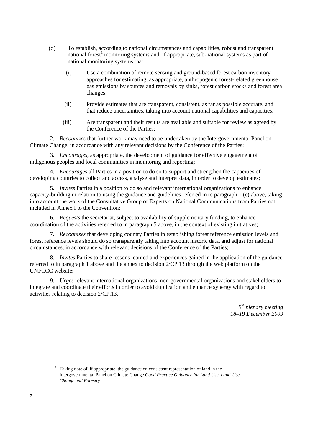- (d) To establish, according to national circumstances and capabilities, robust and transparent national forest<sup>1</sup> monitoring systems and, if appropriate, sub-national systems as part of national monitoring systems that:
	- (i) Use a combination of remote sensing and ground-based forest carbon inventory approaches for estimating, as appropriate, anthropogenic forest-related greenhouse gas emissions by sources and removals by sinks, forest carbon stocks and forest area changes;
	- (ii) Provide estimates that are transparent, consistent, as far as possible accurate, and that reduce uncertainties, taking into account national capabilities and capacities;
	- (iii) Are transparent and their results are available and suitable for review as agreed by the Conference of the Parties;

2. *Recognizes* that further work may need to be undertaken by the Intergovernmental Panel on Climate Change, in accordance with any relevant decisions by the Conference of the Parties;

3. *Encourages*, as appropriate, the development of guidance for effective engagement of indigenous peoples and local communities in monitoring and reporting;

4. *Encourages* all Parties in a position to do so to support and strengthen the capacities of developing countries to collect and access, analyse and interpret data, in order to develop estimates;

5. *Invites* Parties in a position to do so and relevant international organizations to enhance capacity-building in relation to using the guidance and guidelines referred in to paragraph 1 (c) above, taking into account the work of the Consultative Group of Experts on National Communications from Parties not included in Annex I to the Convention;

6. *Requests* the secretariat, subject to availability of supplementary funding, to enhance coordination of the activities referred to in paragraph 5 above, in the context of existing initiatives;

7. *Recognizes* that developing country Parties in establishing forest reference emission levels and forest reference levels should do so transparently taking into account historic data, and adjust for national circumstances, in accordance with relevant decisions of the Conference of the Parties;

8. *Invites* Parties to share lessons learned and experiences gained in the application of the guidance referred to in paragraph 1 above and the annex to decision 2/CP.13 through the web platform on the UNFCCC website;

9. *Urges* relevant international organizations, non-governmental organizations and stakeholders to integrate and coordinate their efforts in order to avoid duplication and enhance synergy with regard to activities relating to decision 2/CP.13.

> *9 th plenary meeting 18–19 December 2009*

1

<sup>&</sup>lt;sup>1</sup> Taking note of, if appropriate, the guidance on consistent representation of land in the Intergovernmental Panel on Climate Change *Good Practice Guidance for Land Use, Land-Use Change and Forestry*.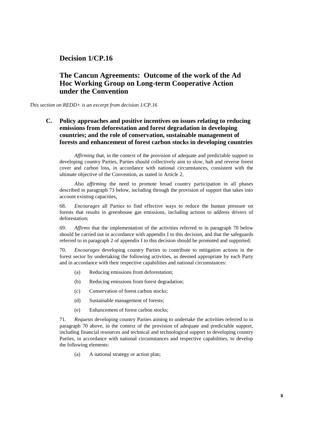### **Decision 1/CP.16**

# **The Cancun Agreements: Outcome of the work of the Ad Hoc Working Group on Long-term Cooperative Action under the Convention**

*This section on REDD+ is an excerpt from decision 1/CP.16*

**C. Policy approaches and positive incentives on issues relating to reducing emissions from deforestation and forest degradation in developing countries; and the role of conservation, sustainable management of forests and enhancement of forest carbon stocks in developing countries**

*Affirming* that, in the context of the provision of adequate and predictable support to developing country Parties, Parties should collectively aim to slow, halt and reverse forest cover and carbon loss, in accordance with national circumstances, consistent with the ultimate objective of the Convention, as stated in Article 2,

*Also affirming* the need to promote broad country participation in all phases described in paragraph 73 below, including through the provision of support that takes into account existing capacities,

68. *Encourages* all Parties to find effective ways to reduce the human pressure on forests that results in greenhouse gas emissions, including actions to address drivers of deforestation;

69. *Affirms* that the implementation of the activities referred to in paragraph 70 below should be carried out in accordance with appendix I to this decision, and that the safeguards referred to in paragraph 2 of appendix I to this decision should be promoted and supported;

70. *Encourages* developing country Parties to contribute to mitigation actions in the forest sector by undertaking the following activities, as deemed appropriate by each Party and in accordance with their respective capabilities and national circumstances:

- (a) Reducing emissions from deforestation;
- (b) Reducing emissions from forest degradation;
- (c) Conservation of forest carbon stocks;
- (d) Sustainable management of forests;
- (e) Enhancement of forest carbon stocks;

71. *Requests* developing country Parties aiming to undertake the activities referred to in paragraph 70 above, in the context of the provision of adequate and predictable support, including financial resources and technical and technological support to developing country Parties, in accordance with national circumstances and respective capabilities, to develop the following elements:

(a) A national strategy or action plan;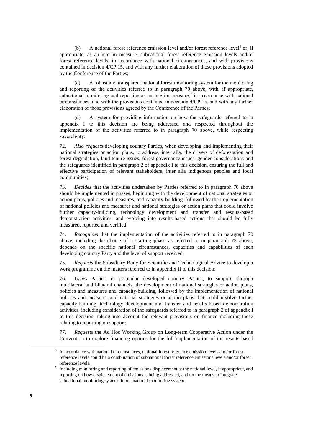(b) A national forest reference emission level and/or forest reference level<sup>6</sup> or, if appropriate, as an interim measure, subnational forest reference emission levels and/or forest reference levels, in accordance with national circumstances, and with provisions contained in decision 4/CP.15, and with any further elaboration of those provisions adopted by the Conference of the Parties;

(c) A robust and transparent national forest monitoring system for the monitoring and reporting of the activities referred to in paragraph 70 above, with, if appropriate, subnational monitoring and reporting as an interim measure,<sup>7</sup> in accordance with national circumstances, and with the provisions contained in decision 4/CP.15, and with any further elaboration of those provisions agreed by the Conference of the Parties;

(d) A system for providing information on how the safeguards referred to in appendix I to this decision are being addressed and respected throughout the implementation of the activities referred to in paragraph 70 above, while respecting sovereignty;

72. *Also requests* developing country Parties, when developing and implementing their national strategies or action plans, to address, inter alia, the drivers of deforestation and forest degradation, land tenure issues, forest governance issues, gender considerations and the safeguards identified in paragraph 2 of appendix I to this decision, ensuring the full and effective participation of relevant stakeholders, inter alia indigenous peoples and local communities;

73. *Decides* that the activities undertaken by Parties referred to in paragraph 70 above should be implemented in phases, beginning with the development of national strategies or action plans, policies and measures, and capacity-building, followed by the implementation of national policies and measures and national strategies or action plans that could involve further capacity-building, technology development and transfer and results-based demonstration activities, and evolving into results-based actions that should be fully measured, reported and verified;

74. *Recognizes* that the implementation of the activities referred to in paragraph 70 above, including the choice of a starting phase as referred to in paragraph 73 above, depends on the specific national circumstances, capacities and capabilities of each developing country Party and the level of support received;

75. *Requests* the Subsidiary Body for Scientific and Technological Advice to develop a work programme on the matters referred to in appendix II to this decision;

76. *Urges* Parties, in particular developed country Parties, to support, through multilateral and bilateral channels, the development of national strategies or action plans, policies and measures and capacity-building, followed by the implementation of national policies and measures and national strategies or action plans that could involve further capacity-building, technology development and transfer and results-based demonstration activities, including consideration of the safeguards referred to in paragraph 2 of appendix I to this decision, taking into account the relevant provisions on finance including those relating to reporting on support;

77. *Requests* the Ad Hoc Working Group on Long-term Cooperative Action under the Convention to explore financing options for the full implementation of the results-based

<sup>6</sup> In accordance with national circumstances, national forest reference emission levels and/or forest reference levels could be a combination of subnational forest reference emissions levels and/or forest reference levels.

<sup>7</sup> Including monitoring and reporting of emissions displacement at the national level, if appropriate, and reporting on how displacement of emissions is being addressed, and on the means to integrate subnational monitoring systems into a national monitoring system.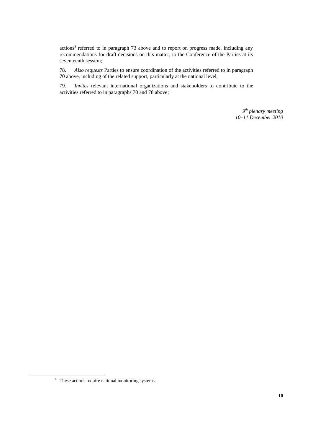actions<sup>8</sup> referred to in paragraph 73 above and to report on progress made, including any recommendations for draft decisions on this matter, to the Conference of the Parties at its seventeenth session;

78. *Also requests* Parties to ensure coordination of the activities referred to in paragraph 70 above, including of the related support, particularly at the national level;

79. *Invites* relevant international organizations and stakeholders to contribute to the activities referred to in paragraphs 70 and 78 above;

> *9 th plenary meeting 10–11 December 2010*

<sup>8</sup> These actions require national monitoring systems.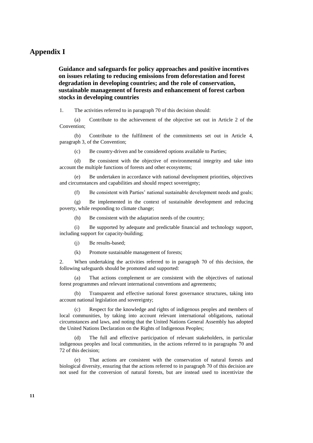### **Appendix I**

**Guidance and safeguards for policy approaches and positive incentives on issues relating to reducing emissions from deforestation and forest degradation in developing countries; and the role of conservation, sustainable management of forests and enhancement of forest carbon stocks in developing countries** 

1. The activities referred to in paragraph 70 of this decision should:

(a) Contribute to the achievement of the objective set out in Article 2 of the Convention;

(b) Contribute to the fulfilment of the commitments set out in Article 4, paragraph 3, of the Convention;

(c) Be country-driven and be considered options available to Parties;

(d) Be consistent with the objective of environmental integrity and take into account the multiple functions of forests and other ecosystems;

(e) Be undertaken in accordance with national development priorities, objectives and circumstances and capabilities and should respect sovereignty;

(f) Be consistent with Parties' national sustainable development needs and goals;

(g) Be implemented in the context of sustainable development and reducing poverty, while responding to climate change;

(h) Be consistent with the adaptation needs of the country;

(i) Be supported by adequate and predictable financial and technology support, including support for capacity-building;

(j) Be results-based;

(k) Promote sustainable management of forests;

2. When undertaking the activities referred to in paragraph 70 of this decision, the following safeguards should be promoted and supported:

(a) That actions complement or are consistent with the objectives of national forest programmes and relevant international conventions and agreements;

(b) Transparent and effective national forest governance structures, taking into account national legislation and sovereignty;

(c) Respect for the knowledge and rights of indigenous peoples and members of local communities, by taking into account relevant international obligations, national circumstances and laws, and noting that the United Nations General Assembly has adopted the United Nations Declaration on the Rights of Indigenous Peoples;

(d) The full and effective participation of relevant stakeholders, in particular indigenous peoples and local communities, in the actions referred to in paragraphs 70 and 72 of this decision;

(e) That actions are consistent with the conservation of natural forests and biological diversity, ensuring that the actions referred to in paragraph 70 of this decision are not used for the conversion of natural forests, but are instead used to incentivize the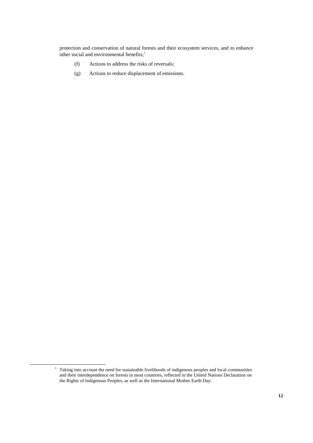protection and conservation of natural forests and their ecosystem services, and to enhance other social and environmental benefits; $<sup>1</sup>$ </sup>

- (f) Actions to address the risks of reversals;
- (g) Actions to reduce displacement of emissions.

<sup>&</sup>lt;sup>1</sup> Taking into account the need for sustainable livelihoods of indigenous peoples and local communities and their interdependence on forests in most countries, reflected in the United Nations Declaration on the Rights of Indigenous Peoples, as well as the International Mother Earth Day.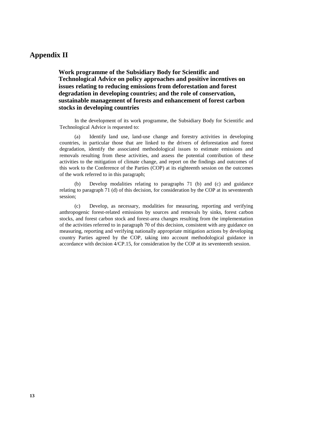# **Appendix II**

**Work programme of the Subsidiary Body for Scientific and Technological Advice on policy approaches and positive incentives on issues relating to reducing emissions from deforestation and forest degradation in developing countries; and the role of conservation, sustainable management of forests and enhancement of forest carbon stocks in developing countries**

In the development of its work programme, the Subsidiary Body for Scientific and Technological Advice is requested to:

(a) Identify land use, land-use change and forestry activities in developing countries, in particular those that are linked to the drivers of deforestation and forest degradation, identify the associated methodological issues to estimate emissions and removals resulting from these activities, and assess the potential contribution of these activities to the mitigation of climate change, and report on the findings and outcomes of this work to the Conference of the Parties (COP) at its eighteenth session on the outcomes of the work referred to in this paragraph;

(b) Develop modalities relating to paragraphs 71 (b) and (c) and guidance relating to paragraph 71 (d) of this decision, for consideration by the COP at its seventeenth session;

(c) Develop, as necessary, modalities for measuring, reporting and verifying anthropogenic forest-related emissions by sources and removals by sinks, forest carbon stocks, and forest carbon stock and forest-area changes resulting from the implementation of the activities referred to in paragraph 70 of this decision, consistent with any guidance on measuring, reporting and verifying nationally appropriate mitigation actions by developing country Parties agreed by the COP, taking into account methodological guidance in accordance with decision 4/CP.15, for consideration by the COP at its seventeenth session.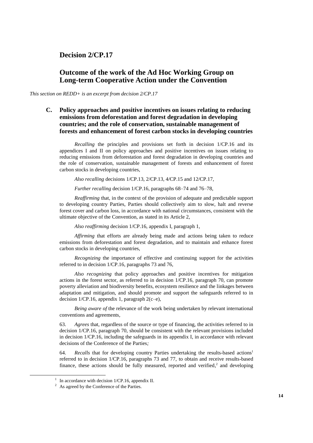# **Decision 2/CP.17**

# **Outcome of the work of the Ad Hoc Working Group on Long-term Cooperative Action under the Convention**

*This section on REDD+ is an excerpt from decision 2/CP.17*

**C. Policy approaches and positive incentives on issues relating to reducing emissions from deforestation and forest degradation in developing countries; and the role of conservation, sustainable management of forests and enhancement of forest carbon stocks in developing countries**

*Recalling* the principles and provisions set forth in decision 1/CP.16 and its appendices I and II on policy approaches and positive incentives on issues relating to reducing emissions from deforestation and forest degradation in developing countries and the role of conservation, sustainable management of forests and enhancement of forest carbon stocks in developing countries,

*Also recalling* decisions 1/CP.13, 2/CP.13, 4/CP.15 and 12/CP.17,

*Further recalling* decision 1/CP.16, paragraphs 68–74 and 76–78,

*Reaffirming* that, in the context of the provision of adequate and predictable support to developing country Parties, Parties should collectively aim to slow, halt and reverse forest cover and carbon loss, in accordance with national circumstances, consistent with the ultimate objective of the Convention, as stated in its Article 2,

*Also reaffirming* decision 1/CP.16, appendix I, paragraph 1,

*Affirming* that efforts are already being made and actions being taken to reduce emissions from deforestation and forest degradation, and to maintain and enhance forest carbon stocks in developing countries,

*Recognizing* the importance of effective and continuing support for the activities referred to in decision 1/CP.16, paragraphs 73 and 76,

*Also recognizing* that policy approaches and positive incentives for mitigation actions in the forest sector, as referred to in decision 1/CP.16, paragraph 70, can promote poverty alleviation and biodiversity benefits, ecosystem resilience and the linkages between adaptation and mitigation, and should promote and support the safeguards referred to in decision  $1/CP.16$ , appendix 1, paragraph  $2(c-e)$ ,

*Being aware of* the relevance of the work being undertaken by relevant international conventions and agreements*,*

63. *Agrees* that, regardless of the source or type of financing, the activities referred to in decision 1/CP.16, paragraph 70, should be consistent with the relevant provisions included in decision 1/CP.16, including the safeguards in its appendix I, in accordance with relevant decisions of the Conference of the Parties*;*

64. *Recalls* that for developing country Parties undertaking the results-based actions<sup>1</sup> referred to in decision 1/CP.16, paragraphs 73 and 77, to obtain and receive results-based finance, these actions should be fully measured, reported and verified, $2$  and developing

<sup>&</sup>lt;sup>1</sup> In accordance with decision  $1/CP.16$ , appendix II.

<sup>&</sup>lt;sup>2</sup> As agreed by the Conference of the Parties.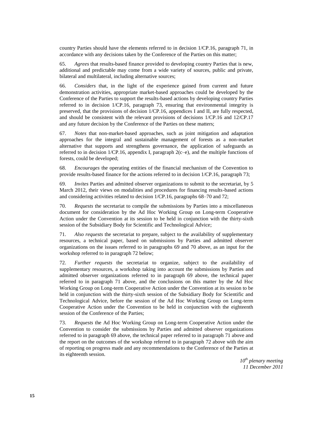country Parties should have the elements referred to in decision 1/CP.16, paragraph 71, in accordance with any decisions taken by the Conference of the Parties on this matter;

65. *Agrees* that results-based finance provided to developing country Parties that is new, additional and predictable may come from a wide variety of sources, public and private, bilateral and multilateral, including alternative sources;

66. *Considers* that, in the light of the experience gained from current and future demonstration activities, appropriate market-based approaches could be developed by the Conference of the Parties to support the results-based actions by developing country Parties referred to in decision 1/CP.16, paragraph 73, ensuring that environmental integrity is preserved, that the provisions of decision 1/CP.16, appendices I and II, are fully respected, and should be consistent with the relevant provisions of decisions 1/CP.16 and 12/CP.17 and any future decision by the Conference of the Parties on these matters;

67. *Notes* that non-market-based approaches, such as joint mitigation and adaptation approaches for the integral and sustainable management of forests as a non-market alternative that supports and strengthens governance, the application of safeguards as referred to in decision  $1/CP.16$ , appendix I, paragraph  $2(c-e)$ , and the multiple functions of forests, could be developed;

68. *Encourages* the operating entities of the financial mechanism of the Convention to provide results-based finance for the actions referred to in decision 1/CP.16, paragraph 73;

69. *Invites* Parties and admitted observer organizations to submit to the secretariat, by 5 March 2012, their views on modalities and procedures for financing results-based actions and considering activities related to decision 1/CP.16, paragraphs 68–70 and 72;

70. *Requests* the secretariat to compile the submissions by Parties into a miscellaneous document for consideration by the Ad Hoc Working Group on Long-term Cooperative Action under the Convention at its session to be held in conjunction with the thirty-sixth session of the Subsidiary Body for Scientific and Technological Advice;

71. *Also requests* the secretariat to prepare, subject to the availability of supplementary resources, a technical paper, based on submissions by Parties and admitted observer organizations on the issues referred to in paragraphs 69 and 70 above, as an input for the workshop referred to in paragraph 72 below;

72. *Further requests* the secretariat to organize, subject to the availability of supplementary resources, a workshop taking into account the submissions by Parties and admitted observer organizations referred to in paragraph 69 above, the technical paper referred to in paragraph 71 above, and the conclusions on this matter by the Ad Hoc Working Group on Long-term Cooperative Action under the Convention at its session to be held in conjunction with the thirty-sixth session of the Subsidiary Body for Scientific and Technological Advice, before the session of the Ad Hoc Working Group on Long-term Cooperative Action under the Convention to be held in conjunction with the eighteenth session of the Conference of the Parties;

73. *Requests* the Ad Hoc Working Group on Long-term Cooperative Action under the Convention to consider the submissions by Parties and admitted observer organizations referred to in paragraph 69 above, the technical paper referred to in paragraph 71 above and the report on the outcomes of the workshop referred to in paragraph 72 above with the aim of reporting on progress made and any recommendations to the Conference of the Parties at its eighteenth session.

> *10th plenary meeting 11 December 2011*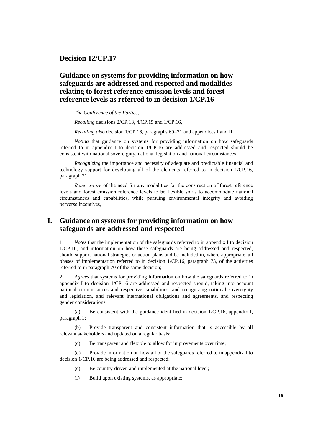**Decision 12/CP.17**

# **Guidance on systems for providing information on how safeguards are addressed and respected and modalities relating to forest reference emission levels and forest reference levels as referred to in decision 1/CP.16**

*The Conference of the Parties*,

*Recalling* decisions 2/CP.13, 4/CP.15 and 1/CP.16,

*Recalling also* decision 1/CP.16, paragraphs 69–71 and appendices I and II,

*Noting* that guidance on systems for providing information on how safeguards referred to in appendix I to decision 1/CP.16 are addressed and respected should be consistent with national sovereignty, national legislation and national circumstances,

*Recognizing* the importance and necessity of adequate and predictable financial and technology support for developing all of the elements referred to in decision 1/CP.16, paragraph 71,

*Being aware* of the need for any modalities for the construction of forest reference levels and forest emission reference levels to be flexible so as to accommodate national circumstances and capabilities, while pursuing environmental integrity and avoiding perverse incentives,

# **I. Guidance on systems for providing information on how safeguards are addressed and respected**

1. *Notes* that the implementation of the safeguards referred to in appendix I to decision 1/CP.16, and information on how these safeguards are being addressed and respected, should support national strategies or action plans and be included in, where appropriate, all phases of implementation referred to in decision 1/CP.16, paragraph 73, of the activities referred to in paragraph 70 of the same decision;

2. *Agrees* that systems for providing information on how the safeguards referred to in appendix I to decision 1/CP.16 are addressed and respected should, taking into account national circumstances and respective capabilities, and recognizing national sovereignty and legislation, and relevant international obligations and agreements, and respecting gender considerations:

(a) Be consistent with the guidance identified in decision 1/CP.16, appendix I, paragraph 1;

Provide transparent and consistent information that is accessible by all relevant stakeholders and updated on a regular basis;

(c) Be transparent and flexible to allow for improvements over time;

(d) Provide information on how all of the safeguards referred to in appendix I to decision 1/CP.16 are being addressed and respected;

- (e) Be country-driven and implemented at the national level;
- (f) Build upon existing systems, as appropriate;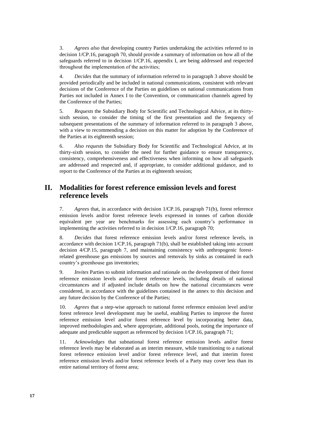3. *Agrees also* that developing country Parties undertaking the activities referred to in decision 1/CP.16, paragraph 70, should provide a summary of information on how all of the safeguards referred to in decision 1/CP.16, appendix I, are being addressed and respected throughout the implementation of the activities;

4. *Decides* that the summary of information referred to in paragraph 3 above should be provided periodically and be included in national communications, consistent with relevant decisions of the Conference of the Parties on guidelines on national communications from Parties not included in Annex I to the Convention, or communication channels agreed by the Conference of the Parties;

5. *Requests* the Subsidiary Body for Scientific and Technological Advice, at its thirtysixth session, to consider the timing of the first presentation and the frequency of subsequent presentations of the summary of information referred to in paragraph 3 above, with a view to recommending a decision on this matter for adoption by the Conference of the Parties at its eighteenth session;

6. *Also requests* the Subsidiary Body for Scientific and Technological Advice, at its thirty-sixth session, to consider the need for further guidance to ensure transparency, consistency, comprehensiveness and effectiveness when informing on how all safeguards are addressed and respected and, if appropriate, to consider additional guidance, and to report to the Conference of the Parties at its eighteenth session;

# **II. Modalities for forest reference emission levels and forest reference levels**

7. *Agrees* that, in accordance with decision 1/CP.16, paragraph 71(b), forest reference emission levels and/or forest reference levels expressed in tonnes of carbon dioxide equivalent per year are benchmarks for assessing each country's performance in implementing the activities referred to in decision 1/CP.16, paragraph 70;

8. *Decides* that forest reference emission levels and/or forest reference levels, in accordance with decision 1/CP.16, paragraph 71(b), shall be established taking into account decision 4/CP.15, paragraph 7, and maintaining consistency with anthropogenic forestrelated greenhouse gas emissions by sources and removals by sinks as contained in each country's greenhouse gas inventories;

9. *Invites* Parties to submit information and rationale on the development of their forest reference emission levels and/or forest reference levels, including details of national circumstances and if adjusted include details on how the national circumstances were considered, in accordance with the guidelines contained in the annex to this decision and any future decision by the Conference of the Parties;

10. *Agrees* that a step-wise approach to national forest reference emission level and/or forest reference level development may be useful, enabling Parties to improve the forest reference emission level and/or forest reference level by incorporating better data, improved methodologies and, where appropriate, additional pools, noting the importance of adequate and predictable support as referenced by decision 1/CP.16, paragraph 71;

11. *Acknowledges* that subnational forest reference emission levels and/or forest reference levels may be elaborated as an interim measure, while transitioning to a national forest reference emission level and/or forest reference level, and that interim forest reference emission levels and/or forest reference levels of a Party may cover less than its entire national territory of forest area;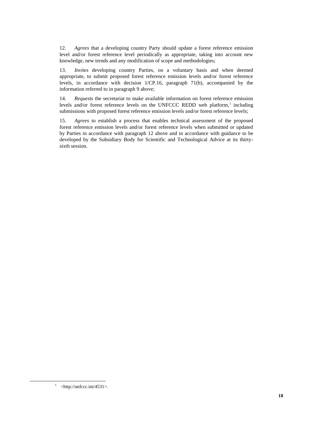12. *Agrees* that a developing country Party should update a forest reference emission level and/or forest reference level periodically as appropriate, taking into account new knowledge, new trends and any modification of scope and methodologies;

13. *Invites* developing country Parties, on a voluntary basis and when deemed appropriate, to submit proposed forest reference emission levels and/or forest reference levels, in accordance with decision 1/CP.16, paragraph 71(b), accompanied by the information referred to in paragraph 9 above;

14. *Requests* the secretariat to make available information on forest reference emission levels and/or forest reference levels on the UNFCCC REDD web platform,<sup>1</sup> including submissions with proposed forest reference emission levels and/or forest reference levels;

15. *Agrees* to establish a process that enables technical assessment of the proposed forest reference emission levels and/or forest reference levels when submitted or updated by Parties in accordance with paragraph 12 above and in accordance with guidance to be developed by the Subsidiary Body for Scientific and Technological Advice at its thirtysixth session.

1

 $1$  <http://unfccc.int/4531>.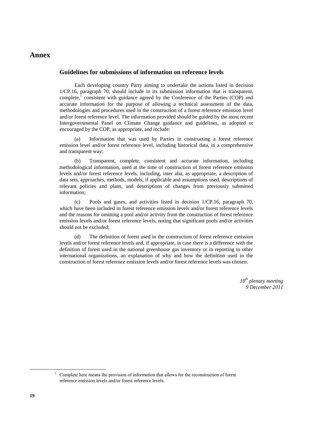### **Annex**

#### **Guidelines for submissions of information on reference levels**

Each developing country Party aiming to undertake the actions listed in decision 1/CP.16, paragraph 70, should include in its submission information that is transparent, complete, $\frac{1}{1}$  consistent with guidance agreed by the Conference of the Parties (COP) and accurate information for the purpose of allowing a technical assessment of the data, methodologies and procedures used in the construction of a forest reference emission level and/or forest reference level. The information provided should be guided by the most recent Intergovernmental Panel on Climate Change guidance and guidelines, as adopted or encouraged by the COP, as appropriate, and include:

Information that was used by Parties in constructing a forest reference emission level and/or forest reference level, including historical data, in a comprehensive and transparent way;

(b) Transparent, complete, consistent and accurate information, including methodological information, used at the time of construction of forest reference emission levels and/or forest reference levels, including, inter alia, as appropriate, a description of data sets, approaches, methods, models, if applicable and assumptions used, descriptions of relevant policies and plans, and descriptions of changes from previously submitted information;

(c) Pools and gases, and activities listed in decision 1/CP.16, paragraph 70, which have been included in forest reference emission levels and/or forest reference levels and the reasons for omitting a pool and/or activity from the construction of forest reference emission levels and/or forest reference levels, noting that significant pools and/or activities should not be excluded;

(d) The definition of forest used in the construction of forest reference emission levels and/or forest reference levels and, if appropriate, in case there is a difference with the definition of forest used in the national greenhouse gas inventory or in reporting to other international organizations, an explanation of why and how the definition used in the construction of forest reference emission levels and/or forest reference levels was chosen.

> *10th plenary meeting 9 December 2011*

 $<sup>1</sup>$  Complete here means the provision of information that allows for the reconstruction of forest</sup> reference emission levels and/or forest reference levels.

 $\overline{a}$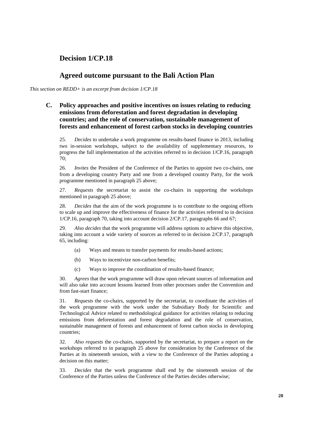# **Decision 1/CP.18**

# **Agreed outcome pursuant to the Bali Action Plan**

*This section on REDD+ is an excerpt from decision 1/CP.18*

### **C. Policy approaches and positive incentives on issues relating to reducing emissions from deforestation and forest degradation in developing countries; and the role of conservation, sustainable management of forests and enhancement of forest carbon stocks in developing countries**

25. *Decides* to undertake a work programme on results-based finance in 2013, including two in-session workshops, subject to the availability of supplementary resources, to progress the full implementation of the activities referred to in decision 1/CP.16, paragraph 70;

26. *Invites* the President of the Conference of the Parties to appoint two co-chairs, one from a developing country Party and one from a developed country Party, for the work programme mentioned in paragraph 25 above;

27. *Requests* the secretariat to assist the co-chairs in supporting the workshops mentioned in paragraph 25 above;

28. *Decides* that the aim of the work programme is to contribute to the ongoing efforts to scale up and improve the effectiveness of finance for the activities referred to in decision 1/CP.16, paragraph 70, taking into account decision 2/CP.17, paragraphs 66 and 67;

29. *Also decides* that the work programme will address options to achieve this objective, taking into account a wide variety of sources as referred to in decision 2/CP.17, paragraph 65, including:

- (a) Ways and means to transfer payments for results-based actions;
- (b) Ways to incentivize non-carbon benefits;
- (c) Ways to improve the coordination of results-based finance;

30. *Agrees* that the work programme will draw upon relevant sources of information and will also take into account lessons learned from other processes under the Convention and from fast-start finance;

31. *Requests* the co-chairs, supported by the secretariat, to coordinate the activities of the work programme with the work under the Subsidiary Body for Scientific and Technological Advice related to methodological guidance for activities relating to reducing emissions from deforestation and forest degradation and the role of conservation, sustainable management of forests and enhancement of forest carbon stocks in developing countries;

32. *Also requests* the co-chairs, supported by the secretariat, to prepare a report on the workshops referred to in paragraph 25 above for consideration by the Conference of the Parties at its nineteenth session, with a view to the Conference of the Parties adopting a decision on this matter;

33. *Decides* that the work programme shall end by the nineteenth session of the Conference of the Parties unless the Conference of the Parties decides otherwise;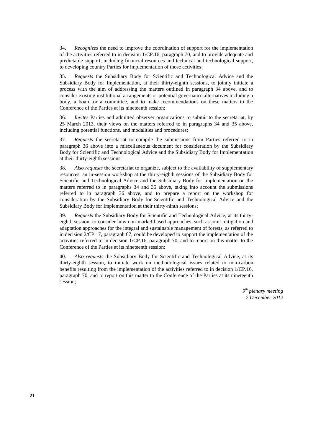34. *Recognizes* the need to improve the coordination of support for the implementation of the activities referred to in decision 1/CP.16, paragraph 70, and to provide adequate and predictable support, including financial resources and technical and technological support, to developing country Parties for implementation of those activities;

35. *Requests* the Subsidiary Body for Scientific and Technological Advice and the Subsidiary Body for Implementation, at their thirty-eighth sessions, to jointly initiate a process with the aim of addressing the matters outlined in paragraph 34 above, and to consider existing institutional arrangements or potential governance alternatives including a body, a board or a committee, and to make recommendations on these matters to the Conference of the Parties at its nineteenth session;

36. *Invites* Parties and admitted observer organizations to submit to the secretariat, by 25 March 2013, their views on the matters referred to in paragraphs 34 and 35 above, including potential functions, and modalities and procedures;

37. *Requests* the secretariat to compile the submissions from Parties referred to in paragraph 36 above into a miscellaneous document for consideration by the Subsidiary Body for Scientific and Technological Advice and the Subsidiary Body for Implementation at their thirty-eighth sessions;

38. *Also requests* the secretariat to organize, subject to the availability of supplementary resources, an in-session workshop at the thirty-eighth sessions of the Subsidiary Body for Scientific and Technological Advice and the Subsidiary Body for Implementation on the matters referred to in paragraphs 34 and 35 above, taking into account the submissions referred to in paragraph 36 above, and to prepare a report on the workshop for consideration by the Subsidiary Body for Scientific and Technological Advice and the Subsidiary Body for Implementation at their thirty-ninth sessions;

39. *Requests* the Subsidiary Body for Scientific and Technological Advice, at its thirtyeighth session, to consider how non-market-based approaches, such as joint mitigation and adaptation approaches for the integral and sustainable management of forests, as referred to in decision 2/CP.17, paragraph 67, could be developed to support the implementation of the activities referred to in decision 1/CP.16, paragraph 70, and to report on this matter to the Conference of the Parties at its nineteenth session;

40. *Also requests* the Subsidiary Body for Scientific and Technological Advice, at its thirty-eighth session, to initiate work on methodological issues related to non-carbon benefits resulting from the implementation of the activities referred to in decision 1/CP.16, paragraph 70, and to report on this matter to the Conference of the Parties at its nineteenth session;

> *9 th plenary meeting 7 December 2012*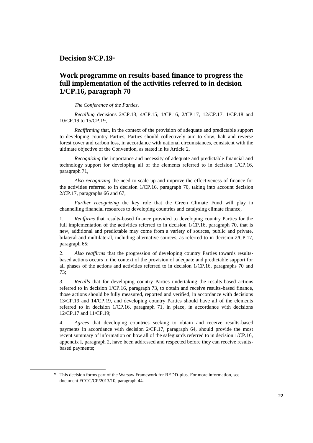**Decision 9/CP.19**\*

# **Work programme on results-based finance to progress the full implementation of the activities referred to in decision 1/CP.16, paragraph 70**

*The Conference of the Parties*,

*Recalling* decisions 2/CP.13, 4/CP.15, 1/CP.16, 2/CP.17, 12/CP.17, 1/CP.18 and 10/CP.19 to 15/CP.19,

*Reaffirming* that, in the context of the provision of adequate and predictable support to developing country Parties, Parties should collectively aim to slow, halt and reverse forest cover and carbon loss, in accordance with national circumstances, consistent with the ultimate objective of the Convention, as stated in its Article 2,

*Recognizing* the importance and necessity of adequate and predictable financial and technology support for developing all of the elements referred to in decision 1/CP.16, paragraph 71,

*Also recognizing* the need to scale up and improve the effectiveness of finance for the activities referred to in decision 1/CP.16, paragraph 70, taking into account decision 2/CP.17, paragraphs 66 and 67,

*Further recognizing* the key role that the Green Climate Fund will play in channelling financial resources to developing countries and catalysing climate finance,

1. *Reaffirms* that results-based finance provided to developing country Parties for the full implementation of the activities referred to in decision 1/CP.16, paragraph 70, that is new, additional and predictable may come from a variety of sources, public and private, bilateral and multilateral, including alternative sources, as referred to in decision 2/CP.17, paragraph 65;

2. *Also reaffirms* that the progression of developing country Parties towards resultsbased actions occurs in the context of the provision of adequate and predictable support for all phases of the actions and activities referred to in decision 1/CP.16, paragraphs 70 and 73;

3. *Recalls* that for developing country Parties undertaking the results-based actions referred to in decision 1/CP.16, paragraph 73, to obtain and receive results-based finance, those actions should be fully measured, reported and verified, in accordance with decisions 13/CP.19 and 14/CP.19, and developing country Parties should have all of the elements referred to in decision 1/CP.16, paragraph 71, in place, in accordance with decisions 12/CP.17 and 11/CP.19;

4. *Agrees* that developing countries seeking to obtain and receive results-based payments in accordance with decision 2/CP.17, paragraph 64, should provide the most recent summary of information on how all of the safeguards referred to in decision 1/CP.16, appendix I, paragraph 2, have been addressed and respected before they can receive resultsbased payments;

 $\overline{a}$ 

<sup>\*</sup> This decision forms part of the Warsaw Framework for REDD-plus. For more information, see document FCCC/CP/2013/10, paragraph 44.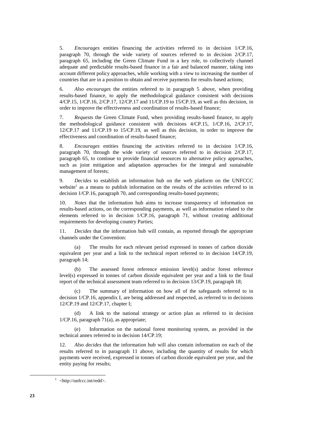5. *Encourages* entities financing the activities referred to in decision 1/CP.16, paragraph 70, through the wide variety of sources referred to in decision 2/CP.17, paragraph 65, including the Green Climate Fund in a key role, to collectively channel adequate and predictable results-based finance in a fair and balanced manner, taking into account different policy approaches, while working with a view to increasing the number of countries that are in a position to obtain and receive payments for results-based actions;

6. *Also encourages* the entities referred to in paragraph 5 above, when providing results-based finance, to apply the methodological guidance consistent with decisions 4/CP.15, 1/CP.16, 2/CP.17, 12/CP.17 and 11/CP.19 to 15/CP.19, as well as this decision, in order to improve the effectiveness and coordination of results-based finance;

7. *Requests* the Green Climate Fund, when providing results-based finance, to apply the methodological guidance consistent with decisions 4/CP.15, 1/CP.16, 2/CP.17, 12/CP.17 and 11/CP.19 to 15/CP.19, as well as this decision, in order to improve the effectiveness and coordination of results-based finance;

8. *Encourages* entities financing the activities referred to in decision 1/CP.16, paragraph 70, through the wide variety of sources referred to in decision 2/CP.17, paragraph 65, to continue to provide financial resources to alternative policy approaches, such as joint mitigation and adaptation approaches for the integral and sustainable management of forests;

9. *Decides* to establish an information hub on the web platform on the UNFCCC website<sup>1</sup> as a means to publish information on the results of the activities referred to in decision 1/CP.16, paragraph 70, and corresponding results-based payments;

10. *Notes* that the information hub aims to increase transparency of information on results-based actions, on the corresponding payments, as well as information related to the elements referred to in decision 1/CP.16, paragraph 71, without creating additional requirements for developing country Parties;

11. *Decides* that the information hub will contain, as reported through the appropriate channels under the Convention:

(a) The results for each relevant period expressed in tonnes of carbon dioxide equivalent per year and a link to the technical report referred to in decision 14/CP.19, paragraph 14;

(b) The assessed forest reference emission level(s) and/or forest reference level(s) expressed in tonnes of carbon dioxide equivalent per year and a link to the final report of the technical assessment team referred to in decision 13/CP.19, paragraph 18;

The summary of information on how all of the safeguards referred to in decision 1/CP.16, appendix I, are being addressed and respected, as referred to in decisions 12/CP.19 and 12/CP.17, chapter I;

(d) A link to the national strategy or action plan as referred to in decision 1/CP.16, paragraph 71(a), as appropriate;

Information on the national forest monitoring system, as provided in the technical annex referred to in decision 14/CP.19;

12. *Also decides* that the information hub will also contain information on each of the results referred to in paragraph 11 above, including the quantity of results for which payments were received, expressed in tonnes of carbon dioxide equivalent per year, and the entity paying for results;

<sup>&</sup>lt;sup>1</sup> <http://unfccc.int/redd>.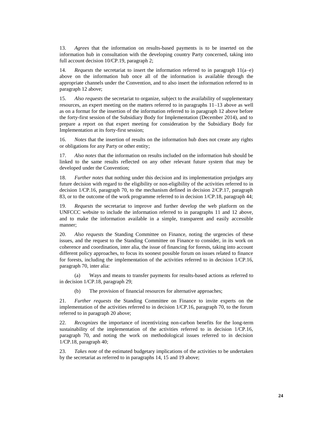13. *Agrees* that the information on results-based payments is to be inserted on the information hub in consultation with the developing country Party concerned, taking into full account decision 10/CP.19, paragraph 2;

14. *Requests* the secretariat to insert the information referred to in paragraph 11(a–e) above on the information hub once all of the information is available through the appropriate channels under the Convention, and to also insert the information referred to in paragraph 12 above;

15. *Also requests* the secretariat to organize, subject to the availability of supplementary resources, an expert meeting on the matters referred to in paragraphs 11–13 above as well as on a format for the insertion of the information referred to in paragraph 12 above before the forty-first session of the Subsidiary Body for Implementation (December 2014), and to prepare a report on that expert meeting for consideration by the Subsidiary Body for Implementation at its forty-first session;

16. *Notes* that the insertion of results on the information hub does not create any rights or obligations for any Party or other entity;

17. *Also notes* that the information on results included on the information hub should be linked to the same results reflected on any other relevant future system that may be developed under the Convention;

18. *Further notes* that nothing under this decision and its implementation prejudges any future decision with regard to the eligibility or non-eligibility of the activities referred to in decision 1/CP.16, paragraph 70, to the mechanism defined in decision 2/CP.17, paragraph 83, or to the outcome of the work programme referred to in decision 1/CP.18, paragraph 44;

19. *Requests* the secretariat to improve and further develop the web platform on the UNFCCC website to include the information referred to in paragraphs 11 and 12 above, and to make the information available in a simple, transparent and easily accessible manner;

20. *Also requests* the Standing Committee on Finance, noting the urgencies of these issues, and the request to the Standing Committee on Finance to consider, in its work on coherence and coordination, inter alia, the issue of financing for forests, taking into account different policy approaches, to focus its soonest possible forum on issues related to finance for forests, including the implementation of the activities referred to in decision 1/CP.16, paragraph 70, inter alia:

(a) Ways and means to transfer payments for results-based actions as referred to in decision 1/CP.18, paragraph 29;

(b) The provision of financial resources for alternative approaches;

21. *Further requests* the Standing Committee on Finance to invite experts on the implementation of the activities referred to in decision 1/CP.16, paragraph 70, to the forum referred to in paragraph 20 above;

22. *Recognizes* the importance of incentivizing non-carbon benefits for the long-term sustainability of the implementation of the activities referred to in decision 1/CP.16, paragraph 70, and noting the work on methodological issues referred to in decision 1/CP.18, paragraph 40;

23. *Takes note* of the estimated budgetary implications of the activities to be undertaken by the secretariat as referred to in paragraphs 14, 15 and 19 above;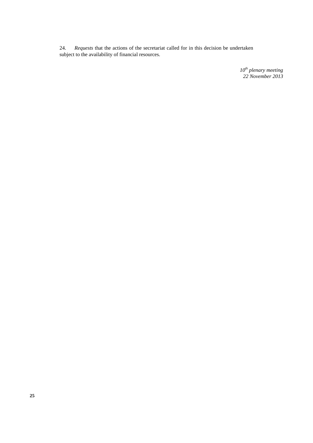24. *Requests* that the actions of the secretariat called for in this decision be undertaken subject to the availability of financial resources.

> *10th plenary meeting 22 November 2013*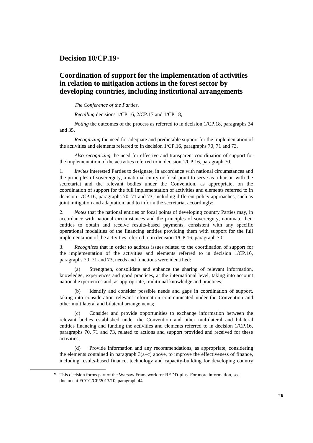### **Decision 10/CP.19**\*

# **Coordination of support for the implementation of activities in relation to mitigation actions in the forest sector by developing countries, including institutional arrangements**

#### *The Conference of the Parties*,

*Recalling* decisions 1/CP.16, 2/CP.17 and 1/CP.18,

*Noting* the outcomes of the process as referred to in decision 1/CP.18, paragraphs 34 and 35,

*Recognizing* the need for adequate and predictable support for the implementation of the activities and elements referred to in decision 1/CP.16, paragraphs 70, 71 and 73,

*Also recognizing* the need for effective and transparent coordination of support for the implementation of the activities referred to in decision 1/CP.16, paragraph 70,

1. *Invites* interested Parties to designate, in accordance with national circumstances and the principles of sovereignty, a national entity or focal point to serve as a liaison with the secretariat and the relevant bodies under the Convention, as appropriate, on the coordination of support for the full implementation of activities and elements referred to in decision 1/CP.16, paragraphs 70, 71 and 73, including different policy approaches, such as joint mitigation and adaptation, and to inform the secretariat accordingly;

2. *Notes* that the national entities or focal points of developing country Parties may, in accordance with national circumstances and the principles of sovereignty, nominate their entities to obtain and receive results-based payments, consistent with any specific operational modalities of the financing entities providing them with support for the full implementation of the activities referred to in decision 1/CP.16, paragraph 70;

3. *Recognizes* that in order to address issues related to the coordination of support for the implementation of the activities and elements referred to in decision 1/CP.16, paragraphs 70, 71 and 73, needs and functions were identified:

(a) Strengthen, consolidate and enhance the sharing of relevant information, knowledge, experiences and good practices, at the international level, taking into account national experiences and, as appropriate, traditional knowledge and practices;

Identify and consider possible needs and gaps in coordination of support, taking into consideration relevant information communicated under the Convention and other multilateral and bilateral arrangements;

(c) Consider and provide opportunities to exchange information between the relevant bodies established under the Convention and other multilateral and bilateral entities financing and funding the activities and elements referred to in decision 1/CP.16, paragraphs 70, 71 and 73, related to actions and support provided and received for these activities;

(d) Provide information and any recommendations, as appropriate, considering the elements contained in paragraph  $3(a-c)$  above, to improve the effectiveness of finance, including results-based finance, technology and capacity-building for developing country

 $\overline{a}$ 

<sup>\*</sup> This decision forms part of the Warsaw Framework for REDD-plus. For more information, see document FCCC/CP/2013/10, paragraph 44.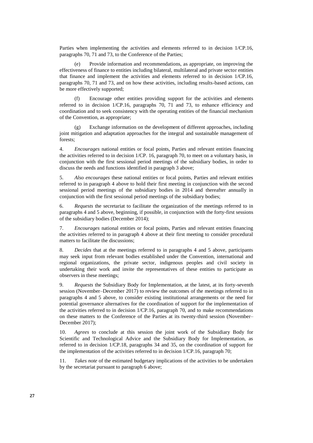Parties when implementing the activities and elements referred to in decision 1/CP.16, paragraphs 70, 71 and 73, to the Conference of the Parties;

(e) Provide information and recommendations, as appropriate, on improving the effectiveness of finance to entities including bilateral, multilateral and private sector entities that finance and implement the activities and elements referred to in decision 1/CP.16, paragraphs 70, 71 and 73, and on how these activities, including results-based actions, can be more effectively supported;

(f) Encourage other entities providing support for the activities and elements referred to in decision 1/CP.16, paragraphs 70, 71 and 73, to enhance efficiency and coordination and to seek consistency with the operating entities of the financial mechanism of the Convention, as appropriate;

(g) Exchange information on the development of different approaches, including joint mitigation and adaptation approaches for the integral and sustainable management of forests;

4. *Encourages* national entities or focal points, Parties and relevant entities financing the activities referred to in decision 1/CP. 16, paragraph 70, to meet on a voluntary basis, in conjunction with the first sessional period meetings of the subsidiary bodies, in order to discuss the needs and functions identified in paragraph 3 above;

5. *Also encourages* these national entities or focal points, Parties and relevant entities referred to in paragraph 4 above to hold their first meeting in conjunction with the second sessional period meetings of the subsidiary bodies in 2014 and thereafter annually in conjunction with the first sessional period meetings of the subsidiary bodies;

6. *Requests* the secretariat to facilitate the organization of the meetings referred to in paragraphs 4 and 5 above, beginning, if possible, in conjunction with the forty-first sessions of the subsidiary bodies (December 2014);

7. *Encourages* national entities or focal points, Parties and relevant entities financing the activities referred to in paragraph 4 above at their first meeting to consider procedural matters to facilitate the discussions;

8. *Decides* that at the meetings referred to in paragraphs 4 and 5 above, participants may seek input from relevant bodies established under the Convention, international and regional organizations, the private sector, indigenous peoples and civil society in undertaking their work and invite the representatives of these entities to participate as observers in these meetings;

9. *Requests* the Subsidiary Body for Implementation, at the latest, at its forty-seventh session (November–December 2017) to review the outcomes of the meetings referred to in paragraphs 4 and 5 above, to consider existing institutional arrangements or the need for potential governance alternatives for the coordination of support for the implementation of the activities referred to in decision 1/CP.16, paragraph 70, and to make recommendations on these matters to the Conference of the Parties at its twenty-third session (November– December 2017);

10. *Agrees* to conclude at this session the joint work of the Subsidiary Body for Scientific and Technological Advice and the Subsidiary Body for Implementation, as referred to in decision 1/CP.18, paragraphs 34 and 35, on the coordination of support for the implementation of the activities referred to in decision 1/CP.16, paragraph 70;

11. *Takes note* of the estimated budgetary implications of the activities to be undertaken by the secretariat pursuant to paragraph 6 above;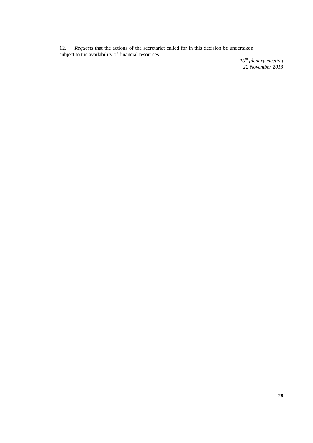12. *Requests* that the actions of the secretariat called for in this decision be undertaken subject to the availability of financial resources.

> *10th plenary meeting 22 November 2013*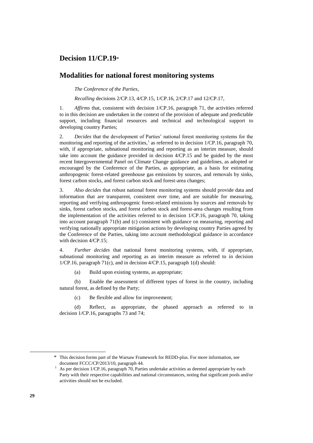# **Decision 11/CP.19**\*

#### **Modalities for national forest monitoring systems**

*The Conference of the Parties*,

*Recalling* decisions 2/CP.13, 4/CP.15, 1/CP.16, 2/CP.17 and 12/CP.17,

1. *Affirms* that, consistent with decision 1/CP.16, paragraph 71, the activities referred to in this decision are undertaken in the context of the provision of adequate and predictable support, including financial resources and technical and technological support to developing country Parties;

2. *Decides* that the development of Parties' national forest monitoring systems for the monitoring and reporting of the activities,<sup>1</sup> as referred to in decision  $1/CP.16$ , paragraph 70, with, if appropriate, subnational monitoring and reporting as an interim measure, should take into account the guidance provided in decision 4/CP.15 and be guided by the most recent Intergovernmental Panel on Climate Change guidance and guidelines, as adopted or encouraged by the Conference of the Parties, as appropriate, as a basis for estimating anthropogenic forest-related greenhouse gas emissions by sources, and removals by sinks, forest carbon stocks, and forest carbon stock and forest-area changes;

3. *Also decides* that robust national forest monitoring systems should provide data and information that are transparent, consistent over time, and are suitable for measuring, reporting and verifying anthropogenic forest-related emissions by sources and removals by sinks, forest carbon stocks, and forest carbon stock and forest-area changes resulting from the implementation of the activities referred to in decision 1/CP.16, paragraph 70, taking into account paragraph 71(b) and (c) consistent with guidance on measuring, reporting and verifying nationally appropriate mitigation actions by developing country Parties agreed by the Conference of the Parties, taking into account methodological guidance in accordance with decision 4/CP.15;

4. *Further decides* that national forest monitoring systems, with, if appropriate, subnational monitoring and reporting as an interim measure as referred to in decision 1/CP.16, paragraph 71(c), and in decision 4/CP.15, paragraph 1(d) should:

(a) Build upon existing systems, as appropriate;

(b) Enable the assessment of different types of forest in the country, including natural forest, as defined by the Party;

(c) Be flexible and allow for improvement;

(d) Reflect, as appropriate, the phased approach as referred to in decision 1/CP.16, paragraphs 73 and 74;

 $\overline{a}$ 

<sup>\*</sup> This decision forms part of the Warsaw Framework for REDD-plus. For more information, see document FCCC/CP/2013/10, paragraph 44.

As per decision 1/CP.16, paragraph 70, Parties undertake activities as deemed appropriate by each Party with their respective capabilities and national circumstances, noting that significant pools and/or activities should not be excluded.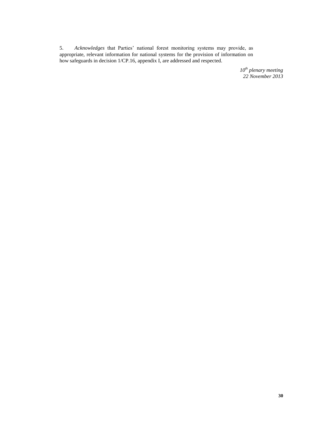5. *Acknowledges* that Parties' national forest monitoring systems may provide, as appropriate, relevant information for national systems for the provision of information on how safeguards in decision 1/CP.16, appendix I, are addressed and respected.

> *10th plenary meeting 22 November 2013*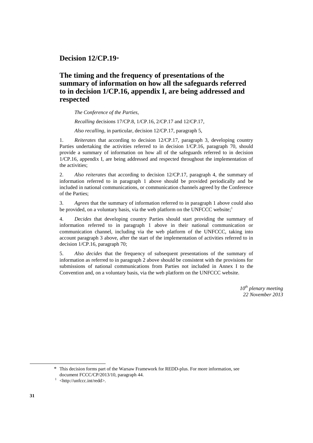**Decision 12/CP.19**\*

# **The timing and the frequency of presentations of the summary of information on how all the safeguards referred to in decision 1/CP.16, appendix I, are being addressed and respected**

*The Conference of the Parties*,

*Recalling* decisions 17/CP.8, 1/CP.16, 2/CP.17 and 12/CP.17,

*Also recalling*, in particular, decision 12/CP.17, paragraph 5,

1. *Reiterates* that according to decision 12/CP.17, paragraph 3, developing country Parties undertaking the activities referred to in decision 1/CP.16, paragraph 70, should provide a summary of information on how all of the safeguards referred to in decision 1/CP.16, appendix I, are being addressed and respected throughout the implementation of the activities;

2. *Also reiterates* that according to decision 12/CP.17, paragraph 4, the summary of information referred to in paragraph 1 above should be provided periodically and be included in national communications, or communication channels agreed by the Conference of the Parties;

3. *Agrees* that the summary of information referred to in paragraph 1 above could also be provided, on a voluntary basis, via the web platform on the UNFCCC website;<sup>1</sup>

4. *Decides* that developing country Parties should start providing the summary of information referred to in paragraph 1 above in their national communication or communication channel, including via the web platform of the UNFCCC, taking into account paragraph 3 above, after the start of the implementation of activities referred to in decision 1/CP.16, paragraph 70;

5. *Also decides* that the frequency of subsequent presentations of the summary of information as referred to in paragraph 2 above should be consistent with the provisions for submissions of national communications from Parties not included in Annex I to the Convention and, on a voluntary basis, via the web platform on the UNFCCC website.

> *10th plenary meeting 22 November 2013*

\* This decision forms part of the Warsaw Framework for REDD-plus. For more information, see document FCCC/CP/2013/10, paragraph 44.

<sup>&</sup>lt;sup>1</sup> <http://unfccc.int/redd>.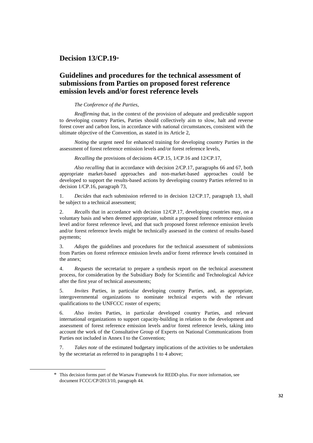### **Decision 13/CP.19**\*

# **Guidelines and procedures for the technical assessment of submissions from Parties on proposed forest reference emission levels and/or forest reference levels**

#### *The Conference of the Parties*,

*Reaffirming* that, in the context of the provision of adequate and predictable support to developing country Parties, Parties should collectively aim to slow, halt and reverse forest cover and carbon loss, in accordance with national circumstances, consistent with the ultimate objective of the Convention, as stated in its Article 2,

*Noting* the urgent need for enhanced training for developing country Parties in the assessment of forest reference emission levels and/or forest reference levels,

*Recalling* the provisions of decisions 4/CP.15, 1/CP.16 and 12/CP.17,

*Also recalling* that in accordance with decision 2/CP.17, paragraphs 66 and 67, both appropriate market-based approaches and non-market-based approaches could be developed to support the results-based actions by developing country Parties referred to in decision 1/CP.16, paragraph 73,

1. *Decides* that each submission referred to in decision 12/CP.17, paragraph 13, shall be subject to a technical assessment;

2. *Recalls* that in accordance with decision 12/CP.17, developing countries may, on a voluntary basis and when deemed appropriate, submit a proposed forest reference emission level and/or forest reference level, and that such proposed forest reference emission levels and/or forest reference levels might be technically assessed in the context of results-based payments;

3. *Adopts* the guidelines and procedures for the technical assessment of submissions from Parties on forest reference emission levels and/or forest reference levels contained in the annex;

4. *Requests* the secretariat to prepare a synthesis report on the technical assessment process, for consideration by the Subsidiary Body for Scientific and Technological Advice after the first year of technical assessments;

5. *Invites* Parties, in particular developing country Parties, and, as appropriate, intergovernmental organizations to nominate technical experts with the relevant qualifications to the UNFCCC roster of experts;

6. *Also invites* Parties, in particular developed country Parties, and relevant international organizations to support capacity-building in relation to the development and assessment of forest reference emission levels and/or forest reference levels, taking into account the work of the Consultative Group of Experts on National Communications from Parties not included in Annex I to the Convention;

7. *Takes note* of the estimated budgetary implications of the activities to be undertaken by the secretariat as referred to in paragraphs 1 to 4 above;

 $\overline{a}$ 

<sup>\*</sup> This decision forms part of the Warsaw Framework for REDD-plus. For more information, see document FCCC/CP/2013/10, paragraph 44.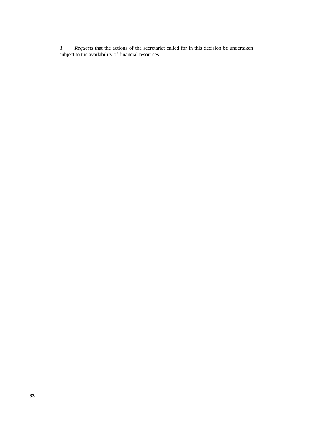8. *Requests* that the actions of the secretariat called for in this decision be undertaken subject to the availability of financial resources*.*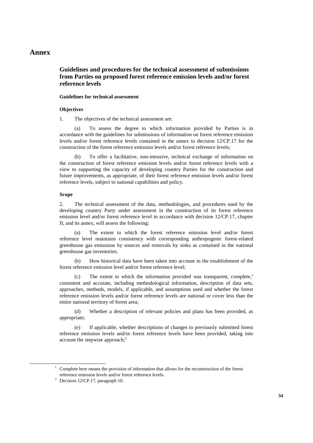#### **Annex**

### **Guidelines and procedures for the technical assessment of submissions from Parties on proposed forest reference emission levels and/or forest reference levels**

#### **Guidelines for technical assessment**

#### **Objectives**

1. The objectives of the technical assessment are:

To assess the degree to which information provided by Parties is in accordance with the guidelines for submissions of information on forest reference emission levels and/or forest reference levels contained in the annex to decision 12/CP.17 for the construction of the forest reference emission levels and/or forest reference levels;

(b) To offer a facilitative, non-intrusive, technical exchange of information on the construction of forest reference emission levels and/or forest reference levels with a view to supporting the capacity of developing country Parties for the construction and future improvements, as appropriate, of their forest reference emission levels and/or forest reference levels, subject to national capabilities and policy.

#### **Scope**

2. The technical assessment of the data, methodologies, and procedures used by the developing country Party under assessment in the construction of its forest reference emission level and/or forest reference level in accordance with decision 12/CP.17, chapter II, and its annex, will assess the following:

(a) The extent to which the forest reference emission level and/or forest reference level maintains consistency with corresponding anthropogenic forest-related greenhouse gas emissions by sources and removals by sinks as contained in the national greenhouse gas inventories;

(b) How historical data have been taken into account in the establishment of the forest reference emission level and/or forest reference level;

(c) The extent to which the information provided was transparent, complete, 1 consistent and accurate, including methodological information, description of data sets, approaches, methods, models, if applicable, and assumptions used and whether the forest reference emission levels and/or forest reference levels are national or cover less than the entire national territory of forest area;

(d) Whether a description of relevant policies and plans has been provided, as appropriate;

(e) If applicable, whether descriptions of changes to previously submitted forest reference emission levels and/or forest reference levels have been provided, taking into account the stepwise approach; $<sup>2</sup>$ </sup>

 $1$  Complete here means the provision of information that allows for the reconstruction of the forest reference emission levels and/or forest reference levels.

<sup>&</sup>lt;sup>2</sup> Decision 12/CP.17, paragraph 10.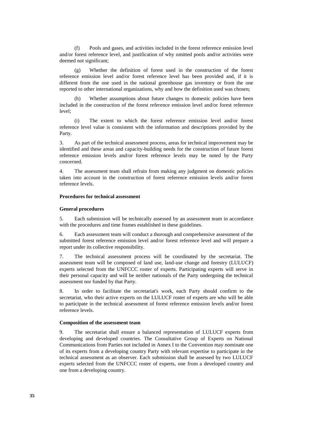(f) Pools and gases, and activities included in the forest reference emission level and/or forest reference level, and justification of why omitted pools and/or activities were deemed not significant;

(g) Whether the definition of forest used in the construction of the forest reference emission level and/or forest reference level has been provided and, if it is different from the one used in the national greenhouse gas inventory or from the one reported to other international organizations, why and how the definition used was chosen;

(h) Whether assumptions about future changes to domestic policies have been included in the construction of the forest reference emission level and/or forest reference level;

(i) The extent to which the forest reference emission level and/or forest reference level value is consistent with the information and descriptions provided by the Party.

3. As part of the technical assessment process, areas for technical improvement may be identified and these areas and capacity-building needs for the construction of future forest reference emission levels and/or forest reference levels may be noted by the Party concerned.

4. The assessment team shall refrain from making any judgment on domestic policies taken into account in the construction of forest reference emission levels and/or forest reference levels.

#### **Procedures for technical assessment**

#### **General procedures**

5. Each submission will be technically assessed by an assessment team in accordance with the procedures and time frames established in these guidelines.

6. Each assessment team will conduct a thorough and comprehensive assessment of the submitted forest reference emission level and/or forest reference level and will prepare a report under its collective responsibility.

7. The technical assessment process will be coordinated by the secretariat. The assessment team will be composed of land use, land-use change and forestry (LULUCF) experts selected from the UNFCCC roster of experts. Participating experts will serve in their personal capacity and will be neither nationals of the Party undergoing the technical assessment nor funded by that Party.

8. In order to facilitate the secretariat's work, each Party should confirm to the secretariat, who their active experts on the LULUCF roster of experts are who will be able to participate in the technical assessment of forest reference emission levels and/or forest reference levels.

#### **Composition of the assessment team**

9. The secretariat shall ensure a balanced representation of LULUCF experts from developing and developed countries. The Consultative Group of Experts on National Communications from Parties not included in Annex I to the Convention may nominate one of its experts from a developing country Party with relevant expertise to participate in the technical assessment as an observer. Each submission shall be assessed by two LULUCF experts selected from the UNFCCC roster of experts, one from a developed country and one from a developing country.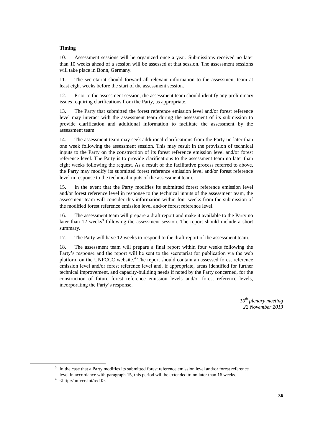#### **Timing**

10. Assessment sessions will be organized once a year. Submissions received no later than 10 weeks ahead of a session will be assessed at that session. The assessment sessions will take place in Bonn, Germany.

11. The secretariat should forward all relevant information to the assessment team at least eight weeks before the start of the assessment session.

12. Prior to the assessment session, the assessment team should identify any preliminary issues requiring clarifications from the Party, as appropriate.

13. The Party that submitted the forest reference emission level and/or forest reference level may interact with the assessment team during the assessment of its submission to provide clarification and additional information to facilitate the assessment by the assessment team.

14. The assessment team may seek additional clarifications from the Party no later than one week following the assessment session. This may result in the provision of technical inputs to the Party on the construction of its forest reference emission level and/or forest reference level. The Party is to provide clarifications to the assessment team no later than eight weeks following the request. As a result of the facilitative process referred to above, the Party may modify its submitted forest reference emission level and/or forest reference level in response to the technical inputs of the assessment team.

15. In the event that the Party modifies its submitted forest reference emission level and/or forest reference level in response to the technical inputs of the assessment team, the assessment team will consider this information within four weeks from the submission of the modified forest reference emission level and/or forest reference level.

16. The assessment team will prepare a draft report and make it available to the Party no later than 12 weeks<sup>3</sup> following the assessment session. The report should include a short summary.

17. The Party will have 12 weeks to respond to the draft report of the assessment team.

18. The assessment team will prepare a final report within four weeks following the Party's response and the report will be sent to the secretariat for publication via the web platform on the UNFCCC website.<sup>4</sup> The report should contain an assessed forest reference emission level and/or forest reference level and, if appropriate, areas identified for further technical improvement, and capacity-building needs if noted by the Party concerned, for the construction of future forest reference emission levels and/or forest reference levels, incorporating the Party's response.

> *10th plenary meeting 22 November 2013*

<sup>3</sup> In the case that a Party modifies its submitted forest reference emission level and/or forest reference level in accordance with paragraph 15, this period will be extended to no later than 16 weeks.

<sup>4</sup> <http://unfccc.int/redd>.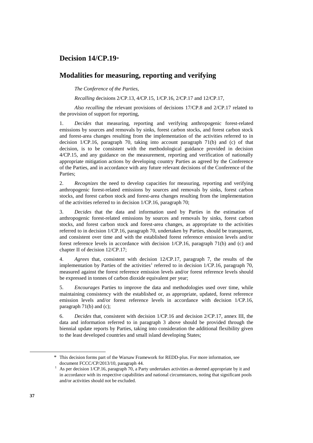### **Decision 14/CP.19**\*

#### **Modalities for measuring, reporting and verifying**

*The Conference of the Parties*,

*Recalling* decisions 2/CP.13, 4/CP.15, 1/CP.16, 2/CP.17 and 12/CP.17,

*Also recalling* the relevant provisions of decisions 17/CP.8 and 2/CP.17 related to the provision of support for reporting,

1. *Decides* that measuring, reporting and verifying anthropogenic forest-related emissions by sources and removals by sinks, forest carbon stocks, and forest carbon stock and forest-area changes resulting from the implementation of the activities referred to in decision 1/CP.16, paragraph 70, taking into account paragraph 71(b) and (c) of that decision, is to be consistent with the methodological guidance provided in decision 4/CP.15, and any guidance on the measurement, reporting and verification of nationally appropriate mitigation actions by developing country Parties as agreed by the Conference of the Parties, and in accordance with any future relevant decisions of the Conference of the Parties;

2. *Recognizes* the need to develop capacities for measuring, reporting and verifying anthropogenic forest-related emissions by sources and removals by sinks, forest carbon stocks, and forest carbon stock and forest-area changes resulting from the implementation of the activities referred to in decision 1/CP.16, paragraph 70;

3. *Decides* that the data and information used by Parties in the estimation of anthropogenic forest-related emissions by sources and removals by sinks, forest carbon stocks, and forest carbon stock and forest-area changes, as appropriate to the activities referred to in decision 1/CP.16, paragraph 70, undertaken by Parties, should be transparent, and consistent over time and with the established forest reference emission levels and/or forest reference levels in accordance with decision 1/CP.16, paragraph 71(b) and (c) and chapter II of decision 12/CP.17;

4. *Agrees* that, consistent with decision 12/CP.17, paragraph 7, the results of the implementation by Parties of the activities<sup>1</sup> referred to in decision  $1/CP.16$ , paragraph 70, measured against the forest reference emission levels and/or forest reference levels should be expressed in tonnes of carbon dioxide equivalent per year;

5. *Encourages* Parties to improve the data and methodologies used over time, while maintaining consistency with the established or, as appropriate, updated, forest reference emission levels and/or forest reference levels in accordance with decision 1/CP.16, paragraph 71(b) and (c);

6. *Decides* that, consistent with decision 1/CP.16 and decision 2/CP.17, annex III, the data and information referred to in paragraph 3 above should be provided through the biennial update reports by Parties, taking into consideration the additional flexibility given to the least developed countries and small island developing States;

 $\overline{a}$ 

<sup>\*</sup> This decision forms part of the Warsaw Framework for REDD-plus. For more information, see document FCCC/CP/2013/10, paragraph 44.

<sup>1</sup> As per decision 1/CP.16, paragraph 70, a Party undertakes activities as deemed appropriate by it and in accordance with its respective capabilities and national circumstances, noting that significant pools and/or activities should not be excluded.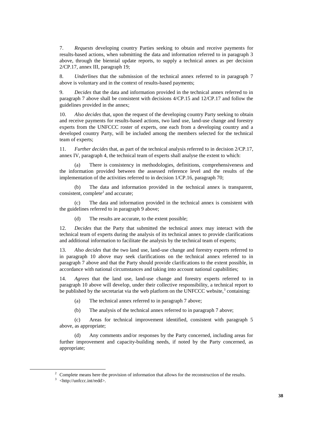7. *Requests* developing country Parties seeking to obtain and receive payments for results-based actions, when submitting the data and information referred to in paragraph 3 above, through the biennial update reports, to supply a technical annex as per decision 2/CP.17, annex III, paragraph 19;

8. *Underlines* that the submission of the technical annex referred to in paragraph 7 above is voluntary and in the context of results-based payments;

9. *Decides* that the data and information provided in the technical annex referred to in paragraph 7 above shall be consistent with decisions 4/CP.15 and 12/CP.17 and follow the guidelines provided in the annex;

10. *Also decides* that, upon the request of the developing country Party seeking to obtain and receive payments for results-based actions, two land use, land-use change and forestry experts from the UNFCCC roster of experts, one each from a developing country and a developed country Party, will be included among the members selected for the technical team of experts;

11. *Further decides* that, as part of the technical analysis referred to in decision 2/CP.17, annex IV, paragraph 4, the technical team of experts shall analyse the extent to which:

(a) There is consistency in methodologies, definitions, comprehensiveness and the information provided between the assessed reference level and the results of the implementation of the activities referred to in decision 1/CP.16, paragraph 70;

(b) The data and information provided in the technical annex is transparent, consistent, complete<sup>2</sup> and accurate;

(c) The data and information provided in the technical annex is consistent with the guidelines referred to in paragraph 9 above;

(d) The results are accurate, to the extent possible;

12. *Decides* that the Party that submitted the technical annex may interact with the technical team of experts during the analysis of its technical annex to provide clarifications and additional information to facilitate the analysis by the technical team of experts;

13. *Also decides* that the two land use, land-use change and forestry experts referred to in paragraph 10 above may seek clarifications on the technical annex referred to in paragraph 7 above and that the Party should provide clarifications to the extent possible, in accordance with national circumstances and taking into account national capabilities;

14. *Agrees* that the land use, land-use change and forestry experts referred to in paragraph 10 above will develop, under their collective responsibility, a technical report to be published by the secretariat via the web platform on the UNFCCC website,<sup>3</sup> containing:

- (a) The technical annex referred to in paragraph 7 above;
- (b) The analysis of the technical annex referred to in paragraph 7 above;

(c) Areas for technical improvement identified, consistent with paragraph 5 above, as appropriate;

(d) Any comments and/or responses by the Party concerned, including areas for further improvement and capacity-building needs, if noted by the Party concerned, as appropriate;

 $\overline{a}$ 

<sup>&</sup>lt;sup>2</sup> Complete means here the provision of information that allows for the reconstruction of the results.

<sup>3</sup> <http://unfccc.int/redd>.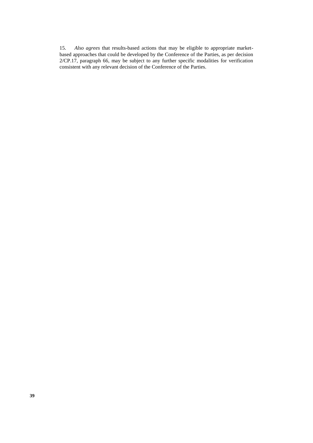15. *Also agrees* that results-based actions that may be eligible to appropriate marketbased approaches that could be developed by the Conference of the Parties, as per decision 2/CP.17, paragraph 66, may be subject to any further specific modalities for verification consistent with any relevant decision of the Conference of the Parties.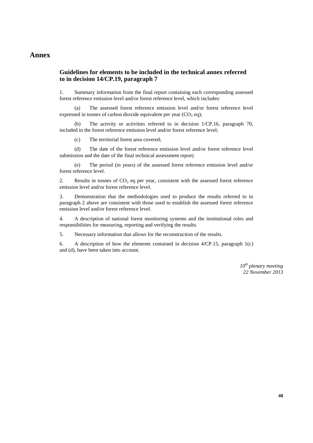### **Annex**

#### **Guidelines for elements to be included in the technical annex referred to in decision 14/CP.19, paragraph 7**

1. Summary information from the final report containing each corresponding assessed forest reference emission level and/or forest reference level, which includes:

(a) The assessed forest reference emission level and/or forest reference level expressed in tonnes of carbon dioxide equivalent per year  $(CO<sub>2</sub> eq)$ ;

(b) The activity or activities referred to in decision 1/CP.16, paragraph 70, included in the forest reference emission level and/or forest reference level;

(c) The territorial forest area covered;

(d) The date of the forest reference emission level and/or forest reference level submission and the date of the final technical assessment report;

(e) The period (in years) of the assessed forest reference emission level and/or forest reference level.

2. Results in tonnes of  $CO<sub>2</sub>$  eq per year, consistent with the assessed forest reference emission level and/or forest reference level.

3. Demonstration that the methodologies used to produce the results referred to in paragraph 2 above are consistent with those used to establish the assessed forest reference emission level and/or forest reference level.

4. A description of national forest monitoring systems and the institutional roles and responsibilities for measuring, reporting and verifying the results.

5. Necessary information that allows for the reconstruction of the results.

6. A description of how the elements contained in decision 4/CP.15, paragraph 1(c) and (d), have been taken into account.

> *10th plenary meeting 22 November 2013*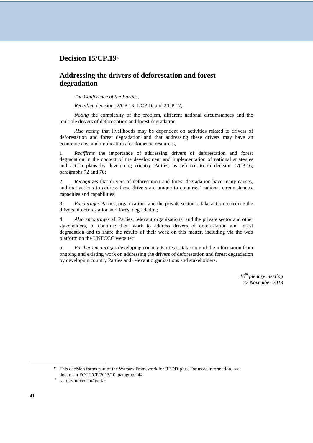### **Decision 15/CP.19**\*

### **Addressing the drivers of deforestation and forest degradation**

*The Conference of the Parties*,

*Recalling* decisions 2/CP.13, 1/CP.16 and 2/CP.17,

*Noting* the complexity of the problem, different national circumstances and the multiple drivers of deforestation and forest degradation,

*Also noting* that livelihoods may be dependent on activities related to drivers of deforestation and forest degradation and that addressing these drivers may have an economic cost and implications for domestic resources,

1. *Reaffirms* the importance of addressing drivers of deforestation and forest degradation in the context of the development and implementation of national strategies and action plans by developing country Parties, as referred to in decision 1/CP.16, paragraphs 72 and 76;

2. *Recognizes* that drivers of deforestation and forest degradation have many causes, and that actions to address these drivers are unique to countries' national circumstances, capacities and capabilities;

3. *Encourages* Parties, organizations and the private sector to take action to reduce the drivers of deforestation and forest degradation;

4. *Also encourages* all Parties, relevant organizations, and the private sector and other stakeholders, to continue their work to address drivers of deforestation and forest degradation and to share the results of their work on this matter, including via the web platform on the UNFCCC website;<sup>1</sup>

5. *Further encourages* developing country Parties to take note of the information from ongoing and existing work on addressing the drivers of deforestation and forest degradation by developing country Parties and relevant organizations and stakeholders.

> *10th plenary meeting 22 November 2013*

\* This decision forms part of the Warsaw Framework for REDD-plus. For more information, see document FCCC/CP/2013/10, paragraph 44.

<sup>&</sup>lt;sup>1</sup> <http://unfccc.int/redd>.